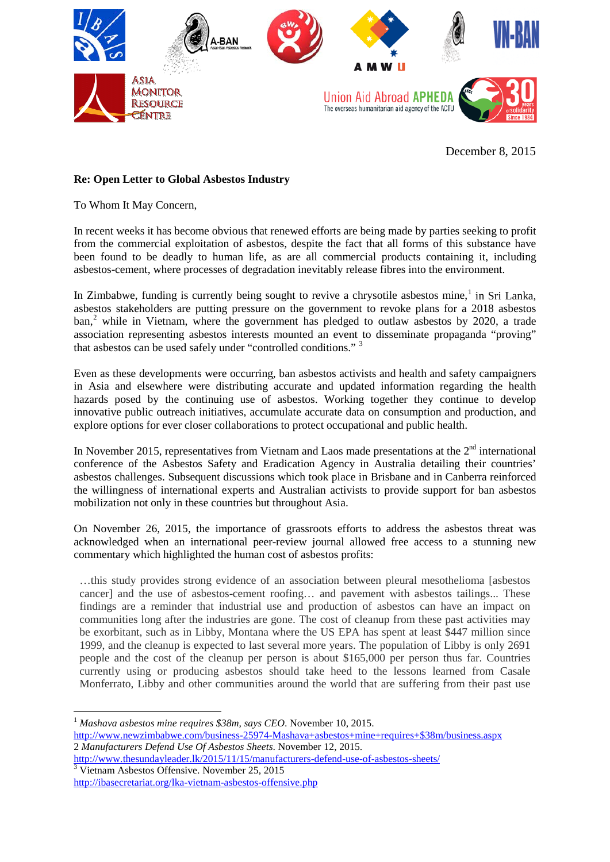

December 8, 2015

## **Re: Open Letter to Global Asbestos Industry**

To Whom It May Concern,

In recent weeks it has become obvious that renewed efforts are being made by parties seeking to profit from the commercial exploitation of asbestos, despite the fact that all forms of this substance have been found to be deadly to human life, as are all commercial products containing it, including asbestos-cement, where processes of degradation inevitably release fibres into the environment.

In Zimbabwe, funding is currently being sought to revive a chrysotile asbestos mine,<sup>[1](#page-0-0)</sup> in Sri Lanka, asbestos stakeholders are putting pressure on the government to revoke plans for a 2018 asbestos ban, [2](#page-0-1) while in Vietnam, where the government has pledged to outlaw asbestos by 2020, a trade association representing asbestos interests mounted an event to disseminate propaganda "proving" that asbestos can be used safely under "controlled conditions." [3](#page-0-2)

Even as these developments were occurring, ban asbestos activists and health and safety campaigners in Asia and elsewhere were distributing accurate and updated information regarding the health hazards posed by the continuing use of asbestos. Working together they continue to develop innovative public outreach initiatives, accumulate accurate data on consumption and production, and explore options for ever closer collaborations to protect occupational and public health.

In November 2015, representatives from Vietnam and Laos made presentations at the  $2<sup>nd</sup>$  international conference of the Asbestos Safety and Eradication Agency in Australia detailing their countries' asbestos challenges. Subsequent discussions which took place in Brisbane and in Canberra reinforced the willingness of international experts and Australian activists to provide support for ban asbestos mobilization not only in these countries but throughout Asia.

On November 26, 2015, the importance of grassroots efforts to address the asbestos threat was acknowledged when an international peer-review journal allowed free access to a stunning new commentary which highlighted the human cost of asbestos profits:

…this study provides strong evidence of an association between pleural mesothelioma [asbestos cancer] and the use of asbestos-cement roofing… and pavement with asbestos tailings... These findings are a reminder that industrial use and production of asbestos can have an impact on communities long after the industries are gone. The cost of cleanup from these past activities may be exorbitant, such as in Libby, Montana where the US EPA has spent at least \$447 million since 1999, and the cleanup is expected to last several more years. The population of Libby is only 2691 people and the cost of the cleanup per person is about \$165,000 per person thus far. Countries currently using or producing asbestos should take heed to the lessons learned from Casale Monferrato, Libby and other communities around the world that are suffering from their past use

<span id="page-0-0"></span>[http://www.newzimbabwe.com/business-25974-Mashava+asbestos+mine+requires+\\$38m/business.aspx](http://www.newzimbabwe.com/business-25974-Mashava+asbestos+mine+requires+$38m/business.aspx) 2 *Manufacturers Defend Use Of Asbestos Sheets*. November 12, 2015.

<span id="page-0-2"></span><span id="page-0-1"></span><http://www.thesundayleader.lk/2015/11/15/manufacturers-defend-use-of-asbestos-sheets/> <sup>3</sup> Vietnam Asbestos Offensive. November 25, 2015

 <sup>1</sup> *Mashava asbestos mine requires \$38m, says CEO*. November 10, 2015.

<http://ibasecretariat.org/lka-vietnam-asbestos-offensive.php>